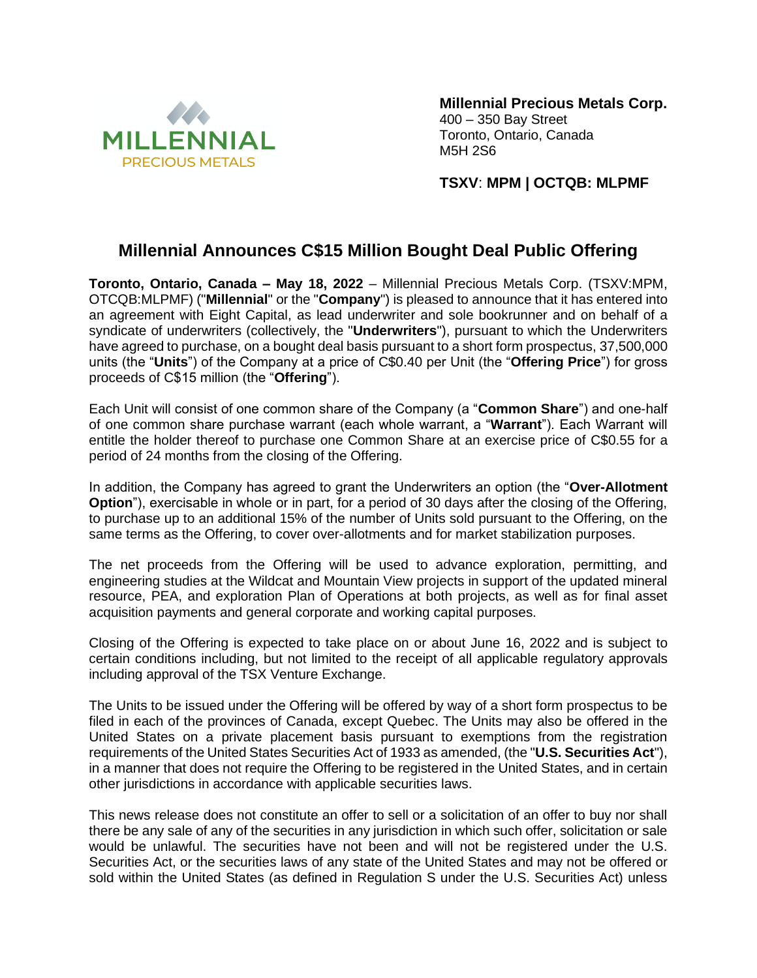

**Millennial Precious Metals Corp.** 400 – 350 Bay Street Toronto, Ontario, Canada M5H 2S6

**TSXV**: **MPM | OCTQB: MLPMF**

## **Millennial Announces C\$15 Million Bought Deal Public Offering**

**Toronto, Ontario, Canada – May 18, 2022** – Millennial Precious Metals Corp. (TSXV:MPM, OTCQB:MLPMF) ("**Millennial**" or the "**Company**") is pleased to announce that it has entered into an agreement with Eight Capital, as lead underwriter and sole bookrunner and on behalf of a syndicate of underwriters (collectively, the "**Underwriters**"), pursuant to which the Underwriters have agreed to purchase, on a bought deal basis pursuant to a short form prospectus, 37,500,000 units (the "**Units**") of the Company at a price of C\$0.40 per Unit (the "**Offering Price**") for gross proceeds of C\$15 million (the "**Offering**").

Each Unit will consist of one common share of the Company (a "**Common Share**") and one-half of one common share purchase warrant (each whole warrant, a "**Warrant**"). Each Warrant will entitle the holder thereof to purchase one Common Share at an exercise price of C\$0.55 for a period of 24 months from the closing of the Offering.

In addition, the Company has agreed to grant the Underwriters an option (the "**Over-Allotment Option**"), exercisable in whole or in part, for a period of 30 days after the closing of the Offering, to purchase up to an additional 15% of the number of Units sold pursuant to the Offering, on the same terms as the Offering, to cover over-allotments and for market stabilization purposes.

The net proceeds from the Offering will be used to advance exploration, permitting, and engineering studies at the Wildcat and Mountain View projects in support of the updated mineral resource, PEA, and exploration Plan of Operations at both projects, as well as for final asset acquisition payments and general corporate and working capital purposes.

Closing of the Offering is expected to take place on or about June 16, 2022 and is subject to certain conditions including, but not limited to the receipt of all applicable regulatory approvals including approval of the TSX Venture Exchange.

The Units to be issued under the Offering will be offered by way of a short form prospectus to be filed in each of the provinces of Canada, except Quebec. The Units may also be offered in the United States on a private placement basis pursuant to exemptions from the registration requirements of the United States Securities Act of 1933 as amended, (the "**U.S. Securities Act**"), in a manner that does not require the Offering to be registered in the United States, and in certain other jurisdictions in accordance with applicable securities laws.

This news release does not constitute an offer to sell or a solicitation of an offer to buy nor shall there be any sale of any of the securities in any jurisdiction in which such offer, solicitation or sale would be unlawful. The securities have not been and will not be registered under the U.S. Securities Act, or the securities laws of any state of the United States and may not be offered or sold within the United States (as defined in Regulation S under the U.S. Securities Act) unless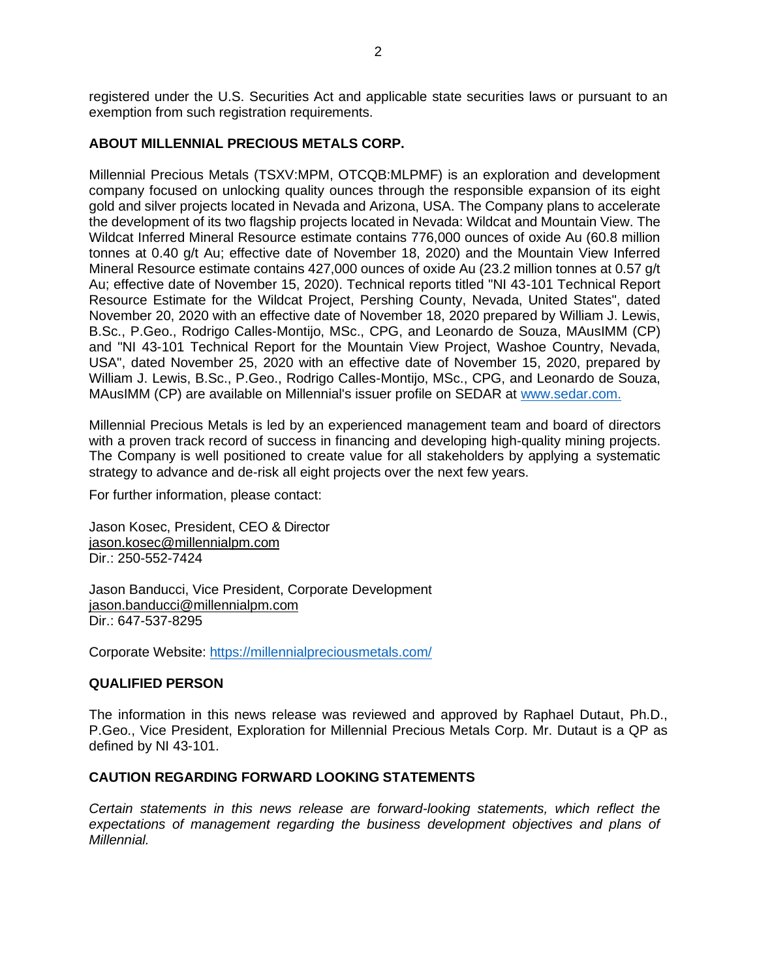registered under the U.S. Securities Act and applicable state securities laws or pursuant to an exemption from such registration requirements.

## **ABOUT MILLENNIAL PRECIOUS METALS CORP.**

Millennial Precious Metals (TSXV:MPM, OTCQB:MLPMF) is an exploration and development company focused on unlocking quality ounces through the responsible expansion of its eight gold and silver projects located in Nevada and Arizona, USA. The Company plans to accelerate the development of its two flagship projects located in Nevada: Wildcat and Mountain View. The Wildcat Inferred Mineral Resource estimate contains 776,000 ounces of oxide Au (60.8 million tonnes at 0.40 g/t Au; effective date of November 18, 2020) and the Mountain View Inferred Mineral Resource estimate contains 427,000 ounces of oxide Au (23.2 million tonnes at 0.57 g/t Au; effective date of November 15, 2020). Technical reports titled "NI 43-101 Technical Report Resource Estimate for the Wildcat Project, Pershing County, Nevada, United States", dated November 20, 2020 with an effective date of November 18, 2020 prepared by William J. Lewis, B.Sc., P.Geo., Rodrigo Calles-Montijo, MSc., CPG, and Leonardo de Souza, MAusIMM (CP) and "NI 43-101 Technical Report for the Mountain View Project, Washoe Country, Nevada, USA", dated November 25, 2020 with an effective date of November 15, 2020, prepared by William J. Lewis, B.Sc., P.Geo., Rodrigo Calles-Montijo, MSc., CPG, and Leonardo de Souza, MAusIMM (CP) are available on Millennial's issuer profile on SEDAR at [www.sedar.com.](http://www.sedar.com/)

Millennial Precious Metals is led by an experienced management team and board of directors with a proven track record of success in financing and developing high-quality mining projects. The Company is well positioned to create value for all stakeholders by applying a systematic strategy to advance and de-risk all eight projects over the next few years.

For further information, please contact:

Jason Kosec, President, CEO & Director [jason.kosec@millennialpm.com](mailto:jason.kosec@millennialpm.com) Dir.: 250-552-7424

Jason Banducci, Vice President, Corporate Development [jason.banducci@millennialpm.com](mailto:jason.banducci@millennialpm.com) Dir.: 647-537-8295

Corporate Website: <https://millennialpreciousmetals.com/>

## **QUALIFIED PERSON**

The information in this news release was reviewed and approved by Raphael Dutaut, Ph.D., P.Geo., Vice President, Exploration for Millennial Precious Metals Corp. Mr. Dutaut is a QP as defined by NI 43-101.

## **CAUTION REGARDING FORWARD LOOKING STATEMENTS**

*Certain statements in this news release are forward-looking statements, which reflect the*  expectations of management regarding the business development objectives and plans of *Millennial.*